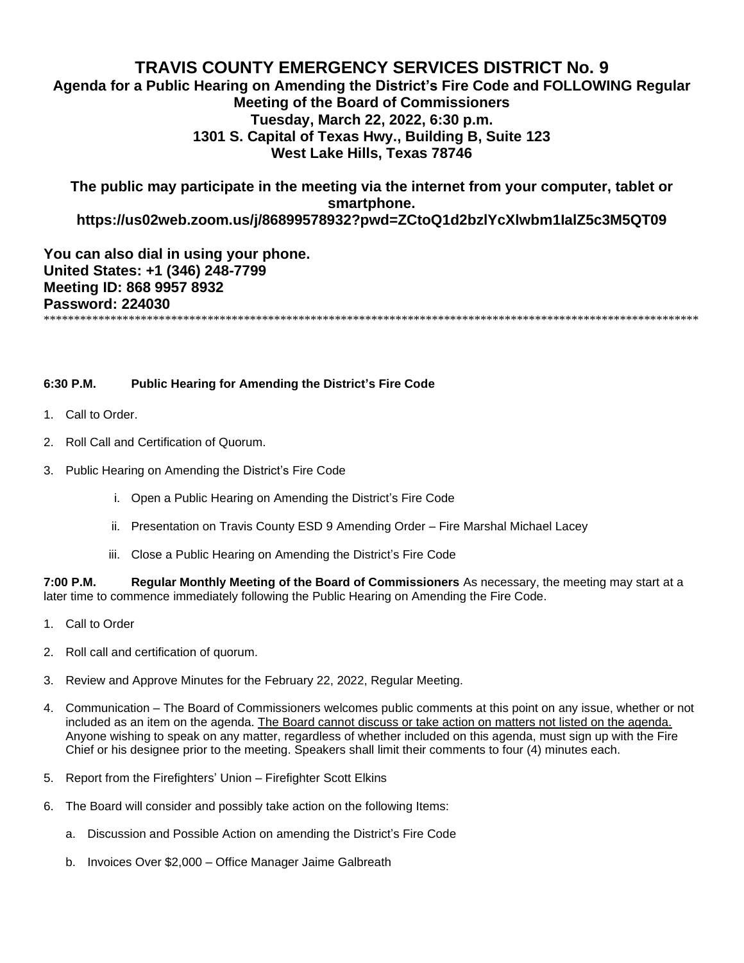## **TRAVIS COUNTY EMERGENCY SERVICES DISTRICT No. 9**

**Agenda for a Public Hearing on Amending the District's Fire Code and FOLLOWING Regular Meeting of the Board of Commissioners Tuesday, March 22, 2022, 6:30 p.m. 1301 S. Capital of Texas Hwy., Building B, Suite 123 West Lake Hills, Texas 78746**

**The public may participate in the meeting via the internet from your computer, tablet or smartphone. https://us02web.zoom.us/j/86899578932?pwd=ZCtoQ1d2bzlYcXlwbm1IalZ5c3M5QT09**

**You can also dial in using your phone. United States: +1 (346) 248-7799 Meeting ID: 868 9957 8932 Password: 224030**

\*\*\*\*\*\*\*\*\*\*\*\*\*\*\*\*\*\*\*\*\*\*\*\*\*\*\*\*\*\*\*\*\*\*\*\*\*\*\*\*\*\*\*\*\*\*\*\*\*\*\*\*\*\*\*\*\*\*\*\*\*\*\*\*\*\*\*\*\*\*\*\*\*\*\*\*\*\*\*\*\*\*\*\*\*\*\*\*\*\*\*\*\*\*\*\*\*\*\*\*\*\*\*\*\*\*\*\*

## **6:30 P.M. Public Hearing for Amending the District's Fire Code**

- 1. Call to Order.
- 2. Roll Call and Certification of Quorum.
- 3. Public Hearing on Amending the District's Fire Code
	- i. Open a Public Hearing on Amending the District's Fire Code
	- ii. Presentation on Travis County ESD 9 Amending Order Fire Marshal Michael Lacey
	- iii. Close a Public Hearing on Amending the District's Fire Code

**7:00 P.M. Regular Monthly Meeting of the Board of Commissioners** As necessary, the meeting may start at a later time to commence immediately following the Public Hearing on Amending the Fire Code.

- 1. Call to Order
- 2. Roll call and certification of quorum.
- 3. Review and Approve Minutes for the February 22, 2022, Regular Meeting.
- 4. Communication The Board of Commissioners welcomes public comments at this point on any issue, whether or not included as an item on the agenda. The Board cannot discuss or take action on matters not listed on the agenda. Anyone wishing to speak on any matter, regardless of whether included on this agenda, must sign up with the Fire Chief or his designee prior to the meeting. Speakers shall limit their comments to four (4) minutes each.
- 5. Report from the Firefighters' Union Firefighter Scott Elkins
- 6. The Board will consider and possibly take action on the following Items:
	- a. Discussion and Possible Action on amending the District's Fire Code
	- b. Invoices Over \$2,000 Office Manager Jaime Galbreath